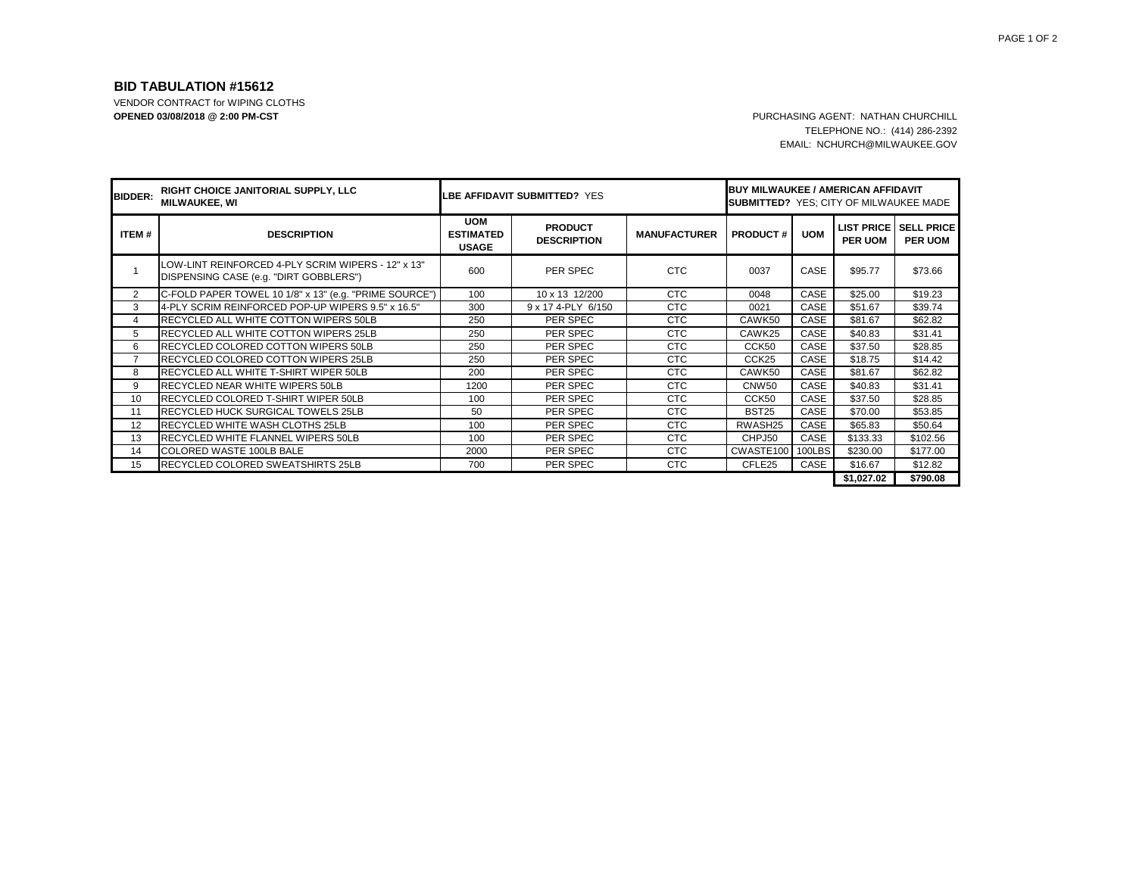## **BID TABULATION #15612**

VENDOR CONTRACT for WIPING CLOTHS **OPENED 03/08/2018 @ 2:00 PM-CST** PURCHASING AGENT: NATHAN CHURCHILL

TELEPHONE NO.: (414) 286-2392 EMAIL: NCHURCH@MILWAUKEE.GOV

| <b>BIDDER:</b> | RIGHT CHOICE JANITORIAL SUPPLY, LLC<br><b>MILWAUKEE, WI</b>                                  | <b>LBE AFFIDAVIT SUBMITTED? YES</b>            |                                      |                     | <b>BUY MILWAUKEE / AMERICAN AFFIDAVIT</b><br><b>SUBMITTED? YES: CITY OF MILWAUKEE MADE</b> |            |                |                                                  |  |
|----------------|----------------------------------------------------------------------------------------------|------------------------------------------------|--------------------------------------|---------------------|--------------------------------------------------------------------------------------------|------------|----------------|--------------------------------------------------|--|
| ITEM#          | <b>DESCRIPTION</b>                                                                           | <b>UOM</b><br><b>ESTIMATED</b><br><b>USAGE</b> | <b>PRODUCT</b><br><b>DESCRIPTION</b> | <b>MANUFACTURER</b> | <b>PRODUCT#</b>                                                                            | <b>UOM</b> | <b>PER UOM</b> | <b>LIST PRICE I SELL PRICE</b><br><b>PER UOM</b> |  |
|                | LOW-LINT REINFORCED 4-PLY SCRIM WIPERS - 12" x 13"<br>DISPENSING CASE (e.g. "DIRT GOBBLERS") | 600                                            | PER SPEC                             | <b>CTC</b>          | 0037                                                                                       | CASE       | \$95.77        | \$73.66                                          |  |
| $\overline{2}$ | C-FOLD PAPER TOWEL 10 1/8" x 13" (e.g. "PRIME SOURCE")                                       | 100                                            | 10 x 13 12/200                       | <b>CTC</b>          | 0048                                                                                       | CASE       | \$25.00        | \$19.23                                          |  |
| 3              | 4-PLY SCRIM REINFORCED POP-UP WIPERS 9.5" x 16.5"                                            | 300                                            | 9 x 17 4-PLY 6/150                   | CTC                 | 0021                                                                                       | CASE       | \$51.67        | \$39.74                                          |  |
| 4              | <b>RECYCLED ALL WHITE COTTON WIPERS 50LB</b>                                                 | 250                                            | PER SPEC                             | <b>CTC</b>          | CAWK50                                                                                     | CASE       | \$81.67        | \$62.82                                          |  |
| 5              | <b>RECYCLED ALL WHITE COTTON WIPERS 25LB</b>                                                 | 250                                            | PER SPEC                             | <b>CTC</b>          | CAWK25                                                                                     | CASE       | \$40.83        | \$31.41                                          |  |
| 6              | <b>RECYCLED COLORED COTTON WIPERS 50LB</b>                                                   | 250                                            | PER SPEC                             | <b>CTC</b>          | CCK50                                                                                      | CASE       | \$37.50        | \$28.85                                          |  |
| $\overline{7}$ | <b>RECYCLED COLORED COTTON WIPERS 25LB</b>                                                   | 250                                            | PER SPEC                             | <b>CTC</b>          | CCK <sub>25</sub>                                                                          | CASE       | \$18.75        | \$14.42                                          |  |
| 8              | RECYCLED ALL WHITE T-SHIRT WIPER 50LB                                                        | 200                                            | PER SPEC                             | <b>CTC</b>          | CAWK50                                                                                     | CASE       | \$81.67        | \$62.82                                          |  |
| 9              | RECYCLED NEAR WHITE WIPERS 50LB                                                              | 1200                                           | PER SPEC                             | <b>CTC</b>          | CNW <sub>50</sub>                                                                          | CASE       | \$40.83        | \$31.41                                          |  |
| 10             | RECYCLED COLORED T-SHIRT WIPER 50LB                                                          | 100                                            | PER SPEC                             | <b>CTC</b>          | CCK50                                                                                      | CASE       | \$37.50        | \$28.85                                          |  |
| 11             | <b>RECYCLED HUCK SURGICAL TOWELS 25LB</b>                                                    | 50                                             | PER SPEC                             | <b>CTC</b>          | <b>BST25</b>                                                                               | CASE       | \$70.00        | \$53.85                                          |  |
| 12             | <b>RECYCLED WHITE WASH CLOTHS 25LB</b>                                                       | 100                                            | PER SPEC                             | <b>CTC</b>          | RWASH25                                                                                    | CASE       | \$65.83        | \$50.64                                          |  |
| 13             | <b>RECYCLED WHITE FLANNEL WIPERS 50LB</b>                                                    | 100                                            | PER SPEC                             | <b>CTC</b>          | CHPJ50                                                                                     | CASE       | \$133.33       | \$102.56                                         |  |
| 14             | <b>COLORED WASTE 100LB BALE</b>                                                              | 2000                                           | PER SPEC                             | CTC                 | CWASTE100 100LBS                                                                           |            | \$230.00       | \$177.00                                         |  |
| 15             | <b>RECYCLED COLORED SWEATSHIRTS 25LB</b>                                                     | 700                                            | PER SPEC                             | <b>CTC</b>          | CFLE <sub>25</sub>                                                                         | CASE       | \$16.67        | \$12.82                                          |  |
|                |                                                                                              |                                                |                                      |                     |                                                                                            |            | \$1,027.02     | \$790.08                                         |  |